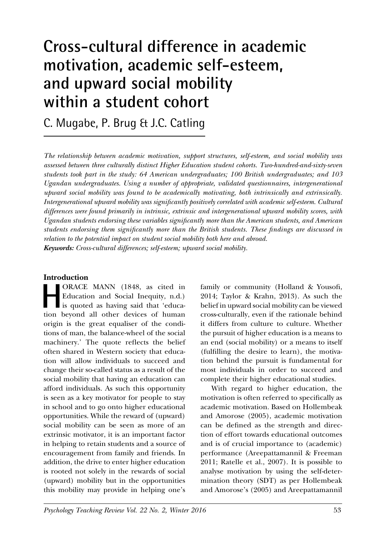# **Cross-cultural difference in academic motivation, academic self-esteem, and upward social mobility within a student cohort**

C. Mugabe, P. Brug & J.C. Catling

*The relationship between academic motivation, support structures, self-esteem, and social mobility was assessed between three culturally distinct Higher Education student cohorts. Two-hundred-and-sixty-seven students took part in the study: 64 American undergraduates; 100 British undergraduates; and 103 Ugandan undergraduates. Using a number of appropriate, validated questionnaires, intergenerational upward social mobility was found to be academically motivating, both intrinsically and extrinsically. Intergenerational upward mobility was significantly positively correlated with academic self-esteem. Cultural differences were found primarily in intrinsic, extrinsic and intergenerational upward mobility scores, with Ugandan students endorsing these variables significantly more than the American students, and American students endorsing them significantly more than the British students. These findings are discussed in relation to the potential impact on student social mobility both here and abroad. Keywords: Cross-cultural differences; self-esteem; upward social mobility.*

## **Introduction**

**HORACE MANN (1848, as cited in Education and Social Inequity, n.d.)** is quoted as having said that 'educa-Education and Social Inequity, n.d.) tion beyond all other devices of human origin is the great equaliser of the conditions of man, the balance-wheel of the social machinery.' The quote reflects the belief often shared in Western society that education will allow individuals to succeed and change their so-called status as a result of the social mobility that having an education can afford individuals. As such this opportunity is seen as a key motivator for people to stay in school and to go onto higher educational opportunities. While the reward of (upward) social mobility can be seen as more of an extrinsic motivator, it is an important factor in helping to retain students and a source of encouragement from family and friends. In addition, the drive to enter higher education is rooted not solely in the rewards of social (upward) mobility but in the opportunities this mobility may provide in helping one's

family or community (Holland & Yousofi, 2014; Taylor & Krahn, 2013). As such the belief in upward social mobility can be viewed cross-culturally, even if the rationale behind it differs from culture to culture. Whether the pursuit of higher education is a means to an end (social mobility) or a means to itself (fulfilling the desire to learn), the motivation behind the pursuit is fundamental for most individuals in order to succeed and complete their higher educational studies.

With regard to higher education, the motivation is often referred to specifically as academic motivation. Based on Hollembeak and Amorose (2005), academic motivation can be defined as the strength and direction of effort towards educational outcomes and is of crucial importance to (academic) performance (Areepattamannil & Freeman 2011; Ratelle et al., 2007). It is possible to analyse motivation by using the self-determination theory (SDT) as per Hollembeak and Amorose's (2005) and Areepattamannil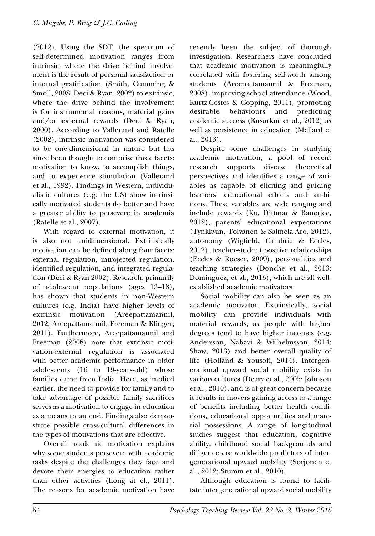(2012). Using the SDT, the spectrum of self-determined motivation ranges from intrinsic, where the drive behind involvement is the result of personal satisfaction or internal gratification (Smith, Cumming & Smoll, 2008; Deci & Ryan, 2002) to extrinsic, where the drive behind the involvement is for instrumental reasons, material gains and/or external rewards (Deci & Ryan, 2000). According to Vallerand and Ratelle (2002), intrinsic motivation was considered to be one-dimensional in nature but has since been thought to comprise three facets: motivation to know, to accomplish things, and to experience stimulation (Vallerand et al., 1992). Findings in Western, individualistic cultures (e.g. the US) show intrinsically motivated students do better and have a greater ability to persevere in academia (Ratelle et al., 2007).

With regard to external motivation, it is also not unidimensional. Extrinsically motivation can be defined along four facets: external regulation, introjected regulation, identified regulation, and integrated regulation (Deci & Ryan 2002). Research, primarily of adolescent populations (ages 13–18), has shown that students in non-Western cultures (e.g. India) have higher levels of extrinsic motivation (Areepattamannil, 2012; Areepattamannil, Freeman & Klinger, 2011). Furthermore, Areepattamannil and Freeman (2008) note that extrinsic motivation-external regulation is associated with better academic performance in older adolescents (16 to 19-years-old) whose families came from India. Here, as implied earlier, the need to provide for family and to take advantage of possible family sacrifices serves as a motivation to engage in education as a means to an end. Findings also demonstrate possible cross-cultural differences in the types of motivations that are effective.

Overall academic motivation explains why some students persevere with academic tasks despite the challenges they face and devote their energies to education rather than other activities (Long at el., 2011). The reasons for academic motivation have recently been the subject of thorough investigation. Researchers have concluded that academic motivation is meaningfully correlated with fostering self-worth among students (Areepattamannil & Freeman, 2008), improving school attendance (Wood, Kurtz-Costes & Copping, 2011), promoting desirable behaviours and predicting academic success (Kusurkur et al., 2012) as well as persistence in education (Mellard et al., 2013).

Despite some challenges in studying academic motivation, a pool of recent research supports diverse theoretical perspectives and identifies a range of variables as capable of eliciting and guiding learners' educational efforts and ambitions. These variables are wide ranging and include rewards (Ku, Dittmar & Banerjee, 2012), parents' educational expectations (Tynkkyan, Tolvanen & Salmela-Aro, 2012), autonomy (Wigfield, Cambria & Eccles, 2012), teacher-student positive relationships (Eccles & Roeser, 2009), personalities and teaching strategies (Donche et al., 2013; Dominguez, et al., 2013), which are all wellestablished academic motivators.

Social mobility can also be seen as an academic motivator. Extrinsically, social mobility can provide individuals with material rewards, as people with higher degrees tend to have higher incomes (e.g. Andersson, Nabavi & Wilhelmsson, 2014; Shaw, 2013) and better overall quality of life (Holland & Yousofi, 2014). Intergenerational upward social mobility exists in various cultures (Deary et al., 2005; Johnson et al., 2010), and is of great concern because it results in movers gaining access to a range of benefits including better health conditions, educational opportunities and material possessions. A range of longitudinal studies suggest that education, cognitive ability, childhood social backgrounds and diligence are worldwide predictors of intergenerational upward mobility (Sorjonen et al., 2012; Stumm et al., 2010).

Although education is found to facilitate intergenerational upward social mobility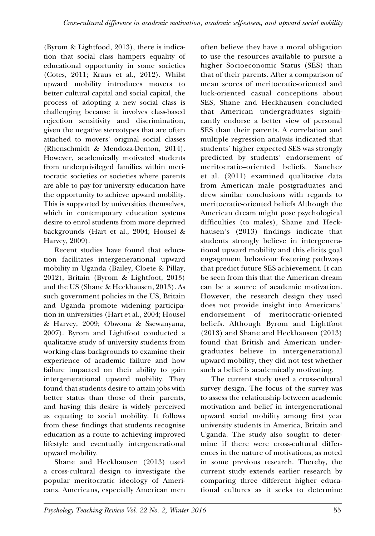(Byrom & Lightfood, 2013), there is indication that social class hampers equality of educational opportunity in some societies (Cotes, 2011; Kraus et al., 2012). Whilst upward mobility introduces movers to better cultural capital and social capital, the process of adopting a new social class is challenging because it involves class-based rejection sensitivity and discrimination, given the negative stereotypes that are often attached to movers' original social classes (Rhenschmidt & Mendoza-Denton, 2014). However, academically motivated students from underprivileged families within meritocratic societies or societies where parents are able to pay for university education have the opportunity to achieve upward mobility. This is supported by universities themselves, which in contemporary education systems desire to enrol students from more deprived backgrounds (Hart et al., 2004; Housel & Harvey, 2009).

Recent studies have found that education facilitates intergenerational upward mobility in Uganda (Bailey, Cloete & Pillay, 2012), Britain (Byrom & Lightfoot, 2013) and the US (Shane & Heckhausen, 2013). As such government policies in the US, Britain and Uganda promote widening participation in universities (Hart et al., 2004; Housel & Harvey, 2009; Obwona & Ssewanyana, 2007). Byrom and Lightfoot conducted a qualitative study of university students from working-class backgrounds to examine their experience of academic failure and how failure impacted on their ability to gain intergenerational upward mobility. They found that students desire to attain jobs with better status than those of their parents, and having this desire is widely perceived as equating to social mobility. It follows from these findings that students recognise education as a route to achieving improved lifestyle and eventually intergenerational upward mobility.

Shane and Heckhausen (2013) used a cross-cultural design to investigate the popular meritocratic ideology of Americans. Americans, especially American men often believe they have a moral obligation to use the resources available to pursue a higher Socioeconomic Status (SES) than that of their parents. After a comparison of mean scores of meritocratic-oriented and luck-oriented casual conceptions about SES, Shane and Heckhausen concluded that American undergraduates significantly endorse a better view of personal SES than their parents. A correlation and multiple regression analysis indicated that students' higher expected SES was strongly predicted by students' endorsement of meritocratic–oriented beliefs. Sanchez et al. (2011) examined qualitative data from American male postgraduates and drew similar conclusions with regards to meritocratic-oriented beliefs Although the American dream might pose psychological difficulties (to males), Shane and Heckhausen's (2013) findings indicate that students strongly believe in intergenerational upward mobility and this elicits goal engagement behaviour fostering pathways that predict future SES achievement. It can be seen from this that the American dream can be a source of academic motivation. However, the research design they used does not provide insight into Americans' endorsement of meritocratic-oriented beliefs. Although Byrom and Lightfoot (2013) and Shane and Heckhausen (2013) found that British and American undergraduates believe in intergenerational upward mobility, they did not test whether such a belief is academically motivating.

The current study used a cross-cultural survey design. The focus of the survey was to assess the relationship between academic motivation and belief in intergenerational upward social mobility among first year university students in America, Britain and Uganda. The study also sought to determine if there were cross-cultural differences in the nature of motivations, as noted in some previous research. Thereby, the current study extends earlier research by comparing three different higher educational cultures as it seeks to determine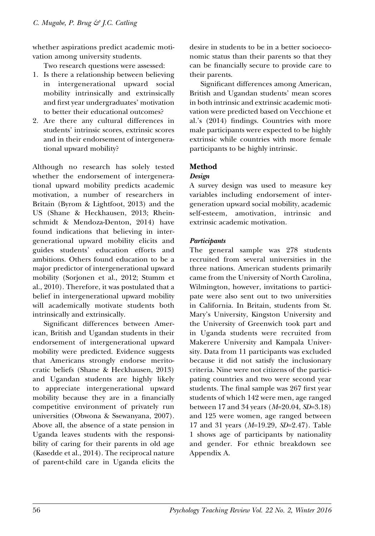whether aspirations predict academic motivation among university students.

Two research questions were assessed:

- 1. Is there a relationship between believing in intergenerational upward social mobility intrinsically and extrinsically and first year undergraduates' motivation to better their educational outcomes?
- 2. Are there any cultural differences in students' intrinsic scores, extrinsic scores and in their endorsement of intergenerational upward mobility?

Although no research has solely tested whether the endorsement of intergenerational upward mobility predicts academic motivation, a number of researchers in Britain (Byrom & Lightfoot, 2013) and the US (Shane & Heckhausen, 2013; Rheinschmidt & Mendoza-Denton, 2014) have found indications that believing in intergenerational upward mobility elicits and guides students' education efforts and ambitions. Others found education to be a major predictor of intergenerational upward mobility (Sorjonen et al., 2012; Stumm et al., 2010). Therefore, it was postulated that a belief in intergenerational upward mobility will academically motivate students both intrinsically and extrinsically.

Significant differences between American, British and Ugandan students in their endorsement of intergenerational upward mobility were predicted. Evidence suggests that Americans strongly endorse meritocratic beliefs (Shane & Heckhausen, 2013) and Ugandan students are highly likely to appreciate intergenerational upward mobility because they are in a financially competitive environment of privately run universities (Obwona & Ssewanyana, 2007). Above all, the absence of a state pension in Uganda leaves students with the responsibility of caring for their parents in old age (Kasedde et al., 2014). The reciprocal nature of parent-child care in Uganda elicits the

desire in students to be in a better socioeconomic status than their parents so that they can be financially secure to provide care to their parents.

Significant differences among American, British and Ugandan students' mean scores in both intrinsic and extrinsic academic motivation were predicted based on Vecchione et al.'s (2014) findings. Countries with more male participants were expected to be highly extrinsic while countries with more female participants to be highly intrinsic.

## **Method**

## *Design*

A survey design was used to measure key variables including endorsement of intergeneration upward social mobility, academic self-esteem, amotivation, intrinsic and extrinsic academic motivation.

## *Participants*

The general sample was 278 students recruited from several universities in the three nations. American students primarily came from the University of North Carolina, Wilmington, however, invitations to participate were also sent out to two universities in California. In Britain, students from St. Mary's University, Kingston University and the University of Greenwich took part and in Uganda students were recruited from Makerere University and Kampala University. Data from 11 participants was excluded because it did not satisfy the inclusionary criteria. Nine were not citizens of the participating countries and two were second year students. The final sample was 267 first year students of which 142 were men, age ranged between 17 and 34 years (*M*=20.04, *SD*=3.18) and 125 were women, age ranged between 17 and 31 years (*M*=19.29, *SD*=2.47). Table 1 shows age of participants by nationality and gender. For ethnic breakdown see Appendix A.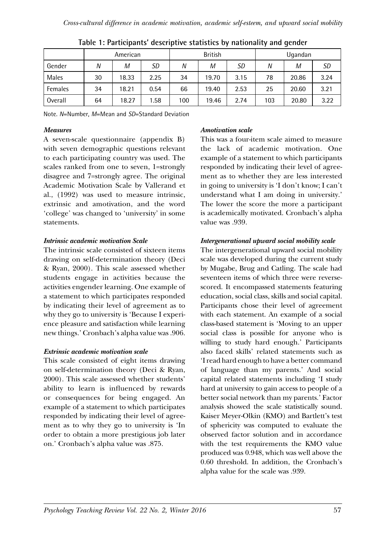|         |    | American |      | <b>British</b> |               |           |     | Ugandan |           |
|---------|----|----------|------|----------------|---------------|-----------|-----|---------|-----------|
| Gender  | N  | М        | SD   | N              | M             | <b>SD</b> | N   | М       | <i>SD</i> |
| Males   | 30 | 18.33    | 2.25 | 34             | 19.70<br>3.15 |           | 78  | 20.86   | 3.24      |
| Females | 34 | 18.21    | 0.54 | 66             | 19.40         | 2.53      | 25  | 20.60   | 3.21      |
| Overall | 64 | 18.27    | 1.58 | 100            | 19.46         | 2.74      | 103 | 20.80   | 3.22      |

|  |  | Table 1: Participants' descriptive statistics by nationality and gender |
|--|--|-------------------------------------------------------------------------|
|--|--|-------------------------------------------------------------------------|

Note. *N*=Number, *M*=Mean and *SD*=Standard Deviation

## *Measures*

A seven-scale questionnaire (appendix B) with seven demographic questions relevant to each participating country was used. The scales ranked from one to seven, 1=strongly disagree and 7=strongly agree. The original Academic Motivation Scale by Vallerand et al., (1992) was used to measure intrinsic, extrinsic and amotivation, and the word 'college' was changed to 'university' in some statements.

## *Intrinsic academic motivation Scale*

The intrinsic scale consisted of sixteen items drawing on self-determination theory (Deci & Ryan, 2000). This scale assessed whether students engage in activities because the activities engender learning. One example of a statement to which participates responded by indicating their level of agreement as to why they go to university is 'Because I experience pleasure and satisfaction while learning new things.' Cronbach's alpha value was .906.

## *Extrinsic academic motivation scale*

This scale consisted of eight items drawing on self-determination theory (Deci & Ryan, 2000). This scale assessed whether students' ability to learn is influenced by rewards or consequences for being engaged. An example of a statement to which participates responded by indicating their level of agreement as to why they go to university is 'In order to obtain a more prestigious job later on.' Cronbach's alpha value was .875.

## *Amotivation scale*

This was a four-item scale aimed to measure the lack of academic motivation. One example of a statement to which participants responded by indicating their level of agreement as to whether they are less interested in going to university is 'I don't know; I can't understand what I am doing in university.' The lower the score the more a participant is academically motivated. Cronbach's alpha value was .939.

## *Intergenerational upward social mobility scale*

The intergenerational upward social mobility scale was developed during the current study by Mugabe, Brug and Catling. The scale had seventeen items of which three were reversescored. It encompassed statements featuring education, social class, skills and social capital. Participants chose their level of agreement with each statement. An example of a social class-based statement is 'Moving to an upper social class is possible for anyone who is willing to study hard enough.' Participants also faced skills' related statements such as 'I read hard enough to have a better command of language than my parents.' And social capital related statements including 'I study hard at university to gain access to people of a better social network than my parents.' Factor analysis showed the scale statistically sound. Kaiser Meyer-Olkin (KMO) and Bartlett's test of sphericity was computed to evaluate the observed factor solution and in accordance with the test requirements the KMO value produced was 0.948, which was well above the 0.60 threshold. In addition, the Cronbach's alpha value for the scale was .939.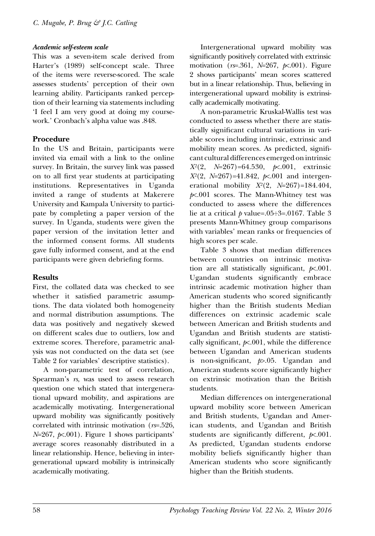#### *Academic self-esteem scale*

This was a seven-item scale derived from Harter's (1989) self-concept scale. Three of the items were reverse-scored. The scale assesses students' perception of their own learning ability. Participants ranked perception of their learning via statements including 'I feel I am very good at doing my coursework.' Cronbach's alpha value was .848.

## **Procedure**

In the US and Britain, participants were invited via email with a link to the online survey. In Britain, the survey link was passed on to all first year students at participating institutions. Representatives in Uganda invited a range of students at Makerere University and Kampala University to participate by completing a paper version of the survey. In Uganda, students were given the paper version of the invitation letter and the informed consent forms. All students gave fully informed consent, and at the end participants were given debriefing forms.

## **Results**

First, the collated data was checked to see whether it satisfied parametric assumptions. The data violated both homogeneity and normal distribution assumptions. The data was positively and negatively skewed on different scales due to outliers, low and extreme scores. Therefore, parametric analysis was not conducted on the data set (see Table 2 for variables' descriptive statistics).

A non-parametric test of correlation, Spearman's *rs*, was used to assess research question one which stated that intergenerational upward mobility, and aspirations are academically motivating. Intergenerational upward mobility was significantly positively correlated with intrinsic motivation (*rs*=.526,  $N=267$ ,  $\cancel{\approx}.001$ ). Figure 1 shows participants' average scores reasonably distributed in a linear relationship. Hence, believing in intergenerational upward mobility is intrinsically academically motivating.

Intergenerational upward mobility was significantly positively correlated with extrinsic motivation (*rs*=.361, *N*=267, *p*<.001). Figure 2 shows participants' mean scores scattered but in a linear relationship. Thus, believing in intergenerational upward mobility is extrinsically academically motivating.

A non-parametric Kruskal-Wallis test was conducted to assess whether there are statistically significant cultural variations in variable scores including intrinsic, extrinsic and mobility mean scores. As predicted, significant cultural differences emerged on intrinsic *X2*(2, *N*=267)=64.530, *p*<.001, extrinsic *X2*(2, *N*=267)=41.842, *p*<.001 and intergenerational mobility *X2*(2, *N*=267)=184.404, *p*<.001 scores. The Mann-Whitney test was conducted to assess where the differences lie at a critical *p* value=.05÷3=.0167. Table 3 presents Mann-Whitney group comparisons with variables' mean ranks or frequencies of high scores per scale.

Table 3 shows that median differences between countries on intrinsic motivation are all statistically significant, *p*<.001. Ugandan students significantly embrace intrinsic academic motivation higher than American students who scored significantly higher than the British students Median differences on extrinsic academic scale between American and British students and Ugandan and British students are statistically significant,  $p \nless 0.001$ , while the difference between Ugandan and American students is non-significant, *p*>.05. Ugandan and American students score significantly higher on extrinsic motivation than the British students.

Median differences on intergenerational upward mobility score between American and British students, Ugandan and American students, and Ugandan and British students are significantly different, *p*<.001. As predicted, Ugandan students endorse mobility beliefs significantly higher than American students who score significantly higher than the British students.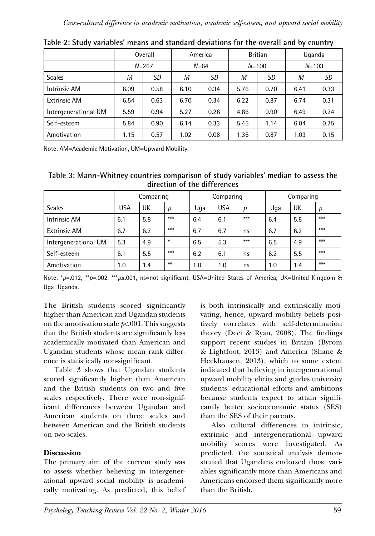|                      | Overall |           | America      |      |              | <b>Britian</b> | Uganda |           |  |
|----------------------|---------|-----------|--------------|------|--------------|----------------|--------|-----------|--|
|                      |         | $N = 267$ | $N = 64$     |      | $N = 100$    |                |        | $N = 103$ |  |
| <b>Scales</b>        | М       | SD        | М<br>SD      |      | M            | SD             | M      | SD        |  |
| <b>Intrinsic AM</b>  | 6.09    | 0.58      | 0.34<br>6.10 |      | 5.76         | 0.70           | 6.41   | 0.33      |  |
| <b>Extrinsic AM</b>  | 6.54    | 0.63      | 6.70         | 0.34 | 6.22         | 0.87           | 6.74   | 0.31      |  |
| Intergenerational UM | 5.59    | 0.94      | 5.27         | 0.26 | 4.86<br>0.90 |                | 6.49   | 0.24      |  |
| Self-esteem          | 5.84    | 0.90      | 6.14         | 0.33 | 5.45         | 1.14           |        | 0.75      |  |
| Amotivation          | 1.15    | 0.57      | 1.02         | 0.08 | 1.36         | 0.87           |        | 0.15      |  |

|  |  |  | Table 2: Study variables' means and standard deviations for the overall and by country |
|--|--|--|----------------------------------------------------------------------------------------|
|--|--|--|----------------------------------------------------------------------------------------|

Note: AM=Academic Motivation, UM=Upward Mobility.

| Table 3: Mann-Whitney countries comparison of study variables' median to assess the |  |
|-------------------------------------------------------------------------------------|--|
| direction of the differences                                                        |  |

|                      | Comparing |     |        | Comparing |            |       | Comparing |     |       |
|----------------------|-----------|-----|--------|-----------|------------|-------|-----------|-----|-------|
| <b>Scales</b>        | USA       | UK  | p      | Uga       | <b>USA</b> | p     | Uga       | UK  | р     |
| <b>Intrinsic AM</b>  | 6.1       | 5.8 | $***$  | 6.4       | 6.1        | $***$ | 6.4       | 5.8 | $***$ |
| <b>Extrinsic AM</b>  | 6.7       | 6.2 | $***$  | 6.7       | 6.7        | ns    | 6.7       | 6.2 | $***$ |
| Intergenerational UM | 5.3       | 4.9 | $\ast$ | 6.5       | 5.3        | $***$ | 6.5       | 4.9 | $***$ |
| Self-esteem          | 6.1       | 5.5 | $***$  | 6.2       | 6.1        | ns    | 6.2       | 5.5 | $***$ |
| Amotivation          | 1.0       | 1.4 | $**$   | 1.0       | 1.0        | ns    | 1.0       | 1.4 | $***$ |

Note: \**p*=.012, \*\**p*=.002, \*\*\**p*≤.001, ns=not significant, USA=United States of America, UK=United Kingdom & Uga=Uganda.

The British students scored significantly higher than American and Ugandan students on the amotivation scale  $p \lt 0.001$ . This suggests that the British students are significantly less academically motivated than American and Ugandan students whose mean rank difference is statistically non-significant.

Table 3 shows that Ugandan students scored significantly higher than American and the British students on two and five scales respectively. There were non-significant differences between Ugandan and American students on three scales and between American and the British students on two scales.

## **Discussion**

The primary aim of the current study was to assess whether believing in intergenerational upward social mobility is academically motivating. As predicted, this belief

is both intrinsically and extrinsically motivating, hence, upward mobility beliefs positively correlates with self-determination theory (Deci & Ryan, 2008). The findings support recent studies in Britain (Byrom & Lightfoot, 2013) and America (Shane & Heckhausen, 2013), which to some extent indicated that believing in intergenerational upward mobility elicits and guides university students' educational efforts and ambitions because students expect to attain significantly better socioeconomic status (SES) than the SES of their parents.

Also cultural differences in intrinsic, extrinsic and intergenerational upward mobility scores were investigated. As predicted, the statistical analysis demonstrated that Ugandans endorsed those variables significantly more than Americans and Americans endorsed them significantly more than the British.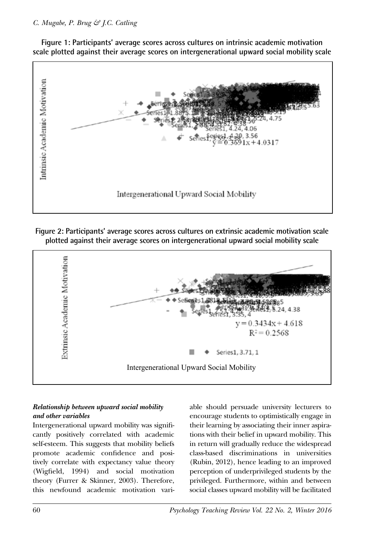## *C. Mugabe, P. Brug & J.C. Catling*



Figure 1: Participants' average scores across cultures on intrinsic academic motivation **scale plotted against their average scores on intergenerational upward social mobility scale**

*Figure 1.* Participants' average scores across cultures on intrinsic academic motivation scale **Figure 2: Participants' average scores across cultures on extrinsic academic motivation scale plotted against their average scores on intergenerational upward social mobility scale** 



## *Relationship between upward social mobility and other variables*

 self-esteem. This suggests that mobility beliefs cantly positively correlated with academic promote academic confidence and positively correlate with expectancy value theory theory (Furrer & Skinner, 2003). Therefore, this newfound academic motivation vari-

 class-based discriminations in universities *Figure 2. Participants* control of the control of the students of encourage students to optimistically engage in  $\frac{1}{2}$ Intergenerational upward mobility was signifi-<br>their learning by associating their inner and their mobility was signifiorrelate with expectancy value theory (Rubin, 2012), hence leading to an improved (Wigfield, 1994) and social motivation perception of underprivileged students by the mobility means of the cultures, single-significant cultural differences emerged on interactions, manner we concern<br>this newfound academic motivation vari-<br>social classes upward mobility will be facilitated able should persuade university lecturers to their learning by associating their inner aspirations with their belief in upward mobility. This in return will gradually reduce the widespread perception of underprivileged students by the privileged. Furthermore, within and between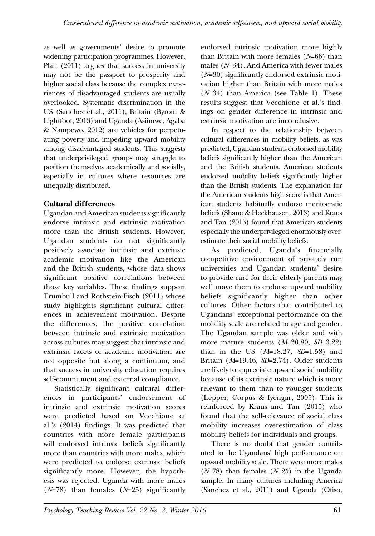as well as governments' desire to promote widening participation programmes. However, Platt (2011) argues that success in university may not be the passport to prosperity and higher social class because the complex experiences of disadvantaged students are usually overlooked. Systematic discrimination in the US (Sanchez et al., 2011), Britain (Byrom & Lightfoot, 2013) and Uganda (Asiimwe, Agaba & Nampewo, 2012) are vehicles for perpetuating poverty and impeding upward mobility among disadvantaged students. This suggests that underprivileged groups may struggle to position themselves academically and socially, especially in cultures where resources are unequally distributed.

## **Cultural differences**

Ugandan and American students significantly endorse intrinsic and extrinsic motivation more than the British students. However, Ugandan students do not significantly positively associate intrinsic and extrinsic academic motivation like the American and the British students, whose data shows significant positive correlations between those key variables. These findings support Trumbull and Rothstein-Fisch (2011) whose study highlights significant cultural differences in achievement motivation. Despite the differences, the positive correlation between intrinsic and extrinsic motivation across cultures may suggest that intrinsic and extrinsic facets of academic motivation are not opposite but along a continuum, and that success in university education requires self-commitment and external compliance.

Statistically significant cultural differences in participants' endorsement of intrinsic and extrinsic motivation scores were predicted based on Vecchione et al.'s (2014) findings. It was predicted that countries with more female participants will endorsed intrinsic beliefs significantly more than countries with more males, which were predicted to endorse extrinsic beliefs significantly more. However, the hypothesis was rejected. Uganda with more males (*N*=78) than females (*N*=25) significantly endorsed intrinsic motivation more highly than Britain with more females (*N*=66) than males (*N*=34). And America with fewer males (*N*=30) significantly endorsed extrinsic motivation higher than Britain with more males (*N*=34) than America (see Table 1). These results suggest that Vecchione et al.'s findings on gender difference in intrinsic and extrinsic motivation are inconclusive.

In respect to the relationship between cultural differences in mobility beliefs, as was predicted, Ugandan students endorsed mobility beliefs significantly higher than the American and the British students. American students endorsed mobility beliefs significantly higher than the British students. The explanation for the American students high score is that American students habitually endorse meritocratic beliefs (Shane & Heckhausen, 2013) and Kraus and Tan (2015) found that American students especially the underprivileged enormously overestimate their social mobility beliefs.

As predicted, Uganda's financially competitive environment of privately run universities and Ugandan students' desire to provide care for their elderly parents may well move them to endorse upward mobility beliefs significantly higher than other cultures. Other factors that contributed to Ugandans' exceptional performance on the mobility scale are related to age and gender. The Ugandan sample was older and with more mature students (*M*=20.80, *SD*=3.22) than in the US (*M*=18.27, *SD*=1.58) and Britain (*M*=19.46, *SD*=2.74). Older students are likely to appreciate upward social mobility because of its extrinsic nature which is more relevant to them than to younger students (Lepper, Corpus & Iyengar, 2005). This is reinforced by Kraus and Tan (2015) who found that the self-relevance of social class mobility increases overestimation of class mobility beliefs for individuals and groups.

There is no doubt that gender contributed to the Ugandans' high performance on upward mobility scale. There were more males (*N*=78) than females (*N*=25) in the Uganda sample. In many cultures including America (Sanchez et al., 2011) and Uganda (Otiso,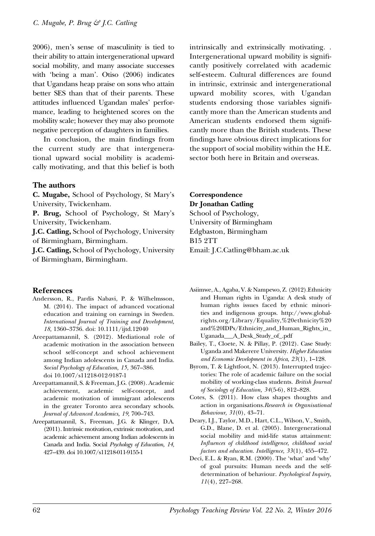2006), men's sense of masculinity is tied to their ability to attain intergenerational upward social mobility, and many associate successes with 'being a man'. Otiso (2006) indicates that Ugandans heap praise on sons who attain better SES than that of their parents. These attitudes influenced Ugandan males' performance, leading to heightened scores on the mobility scale; however they may also promote negative perception of daughters in families.

In conclusion, the main findings from the current study are that intergenerational upward social mobility is academically motivating, and that this belief is both

#### **The authors**

**C. Mugabe,** School of Psychology, St Mary's University, Twickenham.

**P. Brug,** School of Psychology, St Mary's University, Twickenham.

**J.C. Catling,** School of Psychology, University of Birmingham, Birmingham.

**J.C. Catling,** School of Psychology, University of Birmingham, Birmingham.

#### **References**

- Andersson, R., Pardis Nabavi, P. & Wilhelmsson, M. (2014). The impact of advanced vocational education and training on earnings in Sweden. *International Journal of Training and Development, 18,* 1360–3736. doi: 10.1111/ijtd.12040
- Areepattamannil, S. (2012). Mediational role of academic motivation in the association between school self-concept and school achievement among Indian adolescents in Canada and India. *Social Psychology of Education, 15,* 367–386. doi 10.1007/s11218-012-9187-1
- Areepattamannil, S. & Freeman, J.G. (2008). Academic achievement, academic self-concept, and academic motivation of immigrant adolescents in the greater Toronto area secondary schools. *Journal of Advanced Academics, 19,* 700–743.
- Areepattamannil, S., Freeman, J.G. & Klinger, D.A. (2011). Intrinsic motivation, extrinsic motivation, and academic achievement among Indian adolescents in Canada and India. Social *Psychology of Education, 14,*  427–439. doi 10.1007/s11218-011-9155-1

intrinsically and extrinsically motivating. . Intergenerational upward mobility is significantly positively correlated with academic self-esteem. Cultural differences are found in intrinsic, extrinsic and intergenerational upward mobility scores, with Ugandan students endorsing those variables significantly more than the American students and American students endorsed them significantly more than the British students. These findings have obvious direct implications for the support of social mobility within the H.E. sector both here in Britain and overseas.

## **Correspondence Dr Jonathan Catling**

School of Psychology, University of Birmingham Edgbaston, Birmingham B15 2TT Email: J.C.Catling@bham.ac.uk

- Asiimwe, A., Agaba, V. & Nampewo, Z. (2012).Ethnicity and Human rights in Uganda: A desk study of human rights issues faced by ethnic minorities and indigenous groups. http://www.globalrights.org/Library/Equality,%20ethnicity%20 and%20IDPs/Ethnicity\_and\_Human\_Rights\_in\_ Uganada\_\_\_A\_Desk\_Study\_of\_.pdf
- Bailey, T., Cloete, N. & Pillay, P. (2012). Case Study: Uganda and Makerere University. *Higher Education and Economic Development in Africa, 23*(1), 1–128.
- Byrom, T. & Lightfoot, N. (2013). Interrupted trajectories: The role of academic failure on the social mobility of working-class students. *British Journal of Sociology of Education, 34*(5-6), 812–828.
- Cotes, S. (2011). How class shapes thoughts and action in organisations.*Research in Organisational Behaviour, 31*(0), 43–71.
- Deary, I.J., Taylor, M.D., Hart, C.L., Wilson, V., Smith, G.D., Blane, D. et al. (2005). Intergenerational social mobility and mid-life status attainment: *Influences of childhood intelligence, childhood social factors and education. Intelligence, 33*(1), 455–472.
- Deci, E.L. & Ryan, R.M. (2000). The 'what' and 'why' of goal pursuits: Human needs and the selfdetermination of behaviour. *Psychological Inquiry, 11*(4), 227–268.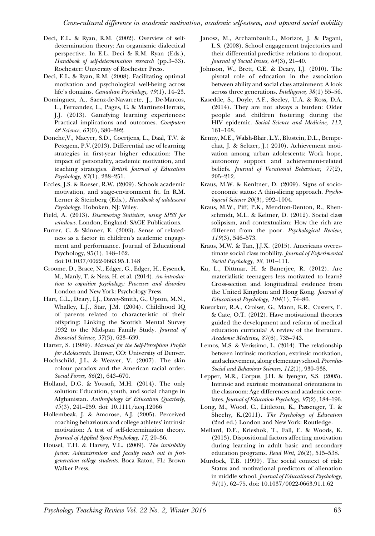- Deci, E.L. & Ryan, R.M. (2002). Overview of selfdetermination theory: An organismic dialectical perspective. In E.L. Deci & R.M. Ryan (Eds.), *Handbook of self-determination research* (pp.3–33). Rochester: University of Rochester Press.
- Deci, E.L. & Ryan, R.M. (2008). Facilitating optimal motivation and psychological well-being across life's domains. *Canadian Psychology, 49*(1), 14–23.
- Dominguez, A., Saenz-de-Navarrete, J., De-Marcos, L., Fernandez, L., Pages, C. & Martinez-Herraiz, J.J. (2013). Gamifying learning experiences: Practical implications and outcomes. *Computers & Science, 63*(0), 380–392.
- Donche,V., Maeyer, S.D., Coertjens, L., Daal, T.V. & Petegem, P.V.(2013). Differential use of learning strategies in first-year higher education: The impact of personality, academic motivation, and teaching strategies. *British Journal of Education Psychology, 83*(1), 238–251.
- Eccles, J.S. & Roeser, R.W. (2009). Schools academic motivation, and stage-environment fit. In R.M. Lerner & Steinberg (Eds.), *Handbook of adolescent Psychology.* Hoboken, NJ: Wiley.
- Field, A. (2013). *Discovering Statistics, using SPSS for windows.* London, England: SAGE Publications.
- Furrer, C. & Skinner, E. (2003). Sense of relatedness as a factor in children's academic engagement and performance. Journal of Educational Psychology, 95(1), 148–162. doi:10.1037/0022-0663.95.1.148
- Groome, D., Brace, N., Edger, G., Edger, H., Eysenck, M., Manly, T. & Ness, H. et al. (2014). *An introduction to cognitive psychology: Processes and disorders*  London and New York: Psychology Press.
- Hart, C.L., Deary, I.J., Davey-Smith, G., Upton, M.N., Whalley, L.J., Star, J.M. (2004). Childhood IQ of parents related to characteristic of their offspring: Linking the Scottish Mental Survey 1932 to the Midspan Family Study. *Journal of Biosocial Science, 37*(3), 623–639.
- Harter, S. (1989). *Manual for the Self-Perception Profile for Adolescents.* Denver, CO: University of Denver.
- Hochschild, J.L. & Weaver, V. (2007). The skin colour paradox and the American racial order. *Social Forces, 86*(2), 643–670.
- Holland, D.G. & Yousofi, M.H. (2014). The only solution: Education, youth, and social change in Afghanistan. *Anthropology & Education Quarterly, 45*(3), 241–259. doi: 10.1111/aeq.12066
- Hollembeak, J. & Amorose, A.J. (2005). Perceived coaching behaviours and college athletes' intrinsic motivation: A test of self-determination theory. *Journal of Applied Sport Psychology, 17,* 20–36.
- Housel, T.H. & Harvey, V.L. (2009). *The invisibility factor: Administrators and faculty reach out to firstgeneration college students*. Boca Raton, FL: Brown Walker Press,
- Janosz, M., Archambault,I., Morizot, J. & Pagani, L.S. (2008). School engagement trajectories and their differential predictive relations to dropout. *Journal of Social Issues, 64*(3), 21–40.
- Johnson, W., Brett, C.E. & Deary, I.J. (2010). The pivotal role of education in the association between ability and social class attainment: A look across three generations. *Intelligence, 38*(1) 55–56.
- Kasedde, S., Doyle, A.F., Seeley, U.A. & Ross, D.A. (2014). They are not always a burden: Older people and children fostering during the HIV epidemic. *Social Science and Medicine, 113,*  161–168.
- Kenny, M.E., Walsh-Blair, L.Y., Blustein, D.L., Bempechat, J. & Seltzer, J.( 2010). Achievement motivation among urban adolescents: Work hope, autonomy support and achievement-related beliefs. *Journal of Vocational Behaviour, 77*(2), 205–212.
- Kraus, M.W. & Kenltner, D. (2009). Signs of socioeconomic status: A thin-slicing approach. *Psychological Science 20*(3), 992–1004.
- Kraus, M.W., Piff, P.K., Mendton-Denton, R., Rhenschmidt, M.L. & Keltner, D. (2012). Social class solipsism, and contextualism: How the rich are different from the poor. *Psychological Review, 119*(3), 546–573.
- Kraus, M.W. & Tan, J.J.X. (2015). Americans overestimate social class mobility. *Journal of Experimental Social Psychology, 58,* 101–111.
- Ku, L., Dittmar, H. & Banerjee, R. (2012). Are materialistic teenagers less motivated to learn? Cross-section and longitudinal evidence from the United Kingdom and Hong Kong. *Journal of Educational Psychology, 104*(1), 74–86.
- Kusurkur, R.A., Croiset, G., Mann, K.R., Custers, E. & Cate, O.T. (2012). Have motivational theories guided the development and reform of medical education curricula? A review of the literature. *Academic Medicine, 87*(6), 735–743.
- Lemos, M.S. & Verissimo, L. (2014). The relationship between intrinsic motivation, extrinsic motivation, and achievement, along elementary school. *Procedia-Social and Behaviour Sciences, 112*(1), 930–938.
- Lepper, M.R., Corpus, J.H. & Iyengar, S.S. (2005). Intrinsic and extrinsic motivational orientations in the classroom: Age differences and academic correlates. *Journal of Education Psychology, 97*(2), 184–196.
- Long, M., Wood, C., Littleton, K., Passenger, T. & Sheehy, K.(2011). *The Psychology of Education*  (2nd ed.) London and New York: Routledge.
- Mellard, D.F., Krieshok, T., Fall, E. & Woods, K. (2013). Dispositional factors affecting motivation during learning in adult basic and secondary education programs. *Read Writ, 26*(2), 515–538.
- Murdock, T.B. (1999). The social context of risk: Status and motivational predictors of alienation in middle school. *Journal of Educational Psychology, 91*(1), 62–75. doi: 10.1037/0022-0663.91.1.62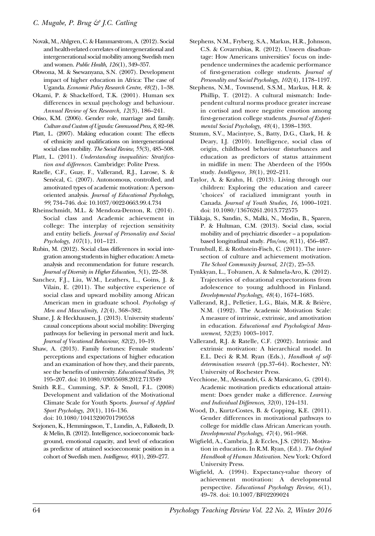- Novak, M., Ahlgren, C. & Hammarstrom, A. (2012). Social and health-related correlates of intergenerational and intergenerational social mobility among Swedish men and women. *Public Health, 126*(1), 349–357.
- Obwona, M. & Ssewanyana, S.N. (2007). Development impact of higher education in Africa: The case of Uganda. *Economic Policy Research Centre, 48*(2), 1–38.
- Okami, P. & Shackelford, T.K. (2001). Human sex differences in sexual psychology and behaviour. *Annual Review of Sex Research, 12*(3), 186–241.
- Otiso, K.M. (2006). Gender role, marriage and family. *Culture and Custom of Uganda: Greenwood Press, 8,* 82–98.
- Platt, L. (2007). Making education count: The effects of ethnicity and qualifications on intergenerational social class mobility. *The Social Review, 55*(3), 485–508.
- Platt, L. (2011). *Understanding inequalities: Stratification and differences.* Cambridge: Polite Press.
- Ratelle, C.F., Guay, F., Vallerand, R.J., Larose, S. & Senécal, C. (2007). Autonomous, controlled, and amotivated types of academic motivation: A personoriented analysis. *Journal of Educational Psychology, 99,* 734–746. doi: 10.1037/0022-0663.99.4.734
- Rheinschmidt, M.L. & Mendoza-Denton, R. (2014). Social class and Academic achievement in college: The interplay of rejection sensitivity and entity beliefs. *Journal of Personality and Social Psychology, 107*(1), 101–121.
- Rubin, M. (2012). Social class differences in social integration among students in higher education: A metaanalysis and recommendation for future research. *Journal of Diversity in Higher Education, 5*(1), 22–38.
- Sanchez, F.J., Liu, W.M., Leathers, L., Goins, J. & Vilain, E. (2011). The subjective experience of social class and upward mobility among African American men in graduate school. *Psychology of Men and Masculinity, 12*(4), 368–382.
- Shane, J. & Heckhausen, J. (2013). University students' causal conceptions about social mobility: Diverging pathways for believing in personal merit and luck. *Journal of Vocational Behaviour, 82*(2), 10–19.
- Shaw, A. (2013). Family fortunes: Female students' perceptions and expectations of higher education and an examination of how they, and their parents, see the benefits of university. *Educational Studies, 39,*  195–207. doi: 10.1080/03055698.2012.713549
- Smith R.E., Cumming, S.P. & Smoll, F.L. (2008) Development and validation of the Motivational Climate Scale for Youth Sports. *Journal of Applied Sport Psychology, 20*(1), 116–136. doi: 10.1080/10413200701790558
- Sorjonen, K., Hemmingsson, T., Lundin, A., Falkstedt, D. & Melin, B. (2012). Intelligence, socioeconomic background, emotional capacity, and level of education as predictor of attained socioeconomic position in a cohort of Swedish men. *Intelligence, 40*(1), 269–277.
- Stephens, N.M., Fryberg, S.A., Markus, H.R., Johnson, C.S. & Covarrubias, R. (2012). Unseen disadvantage: How Americans universities' focus on independence undermines the academic performance of first-generation college students. *Journal of Personality and Social Psychology, 102*(4), 1178–1197.
- Stephens, N.M., Townsend, S.S.M., Markus, H.R. & Phillip, T. (2012). A cultural mismatch: Independent cultural norms produce greater increase in cortisol and more negative emotion among first-generation college students. *Journal of Experimental Social Psychology, 48*(4), 1398–1393.
- Stumm, S.V., Macintyre, S., Batty, D.G., Clark, H. & Deary, I.J. (2010). Intelligence, social class of origin, childhood behaviour disturbances and education as predictors of status attainment in midlife in men: The Aberdeen of the 1950s study. *Intelligence, 38*(1), 202–211.
- Taylor, A. & Krahn, H. (2013). Living through our children: Exploring the education and career 'choices' of racialized immigrant youth in Canada. *Journal of Youth Studies, 16,* 1000–1021. doi: 10.1080/13676261.2013.772575
- Tiikkaja, S., Sandin, S., Malki, N., Modin, B., Sparen, P. & Hultman, C.M. (2013). Social class, social mobility and of psychiatric disorder – a populationbased longitudinal study. *Plos/one, 8*(11), 456–487.
- Trumbull, E. & Rothstein-Fisch, C. (2011). The intersection of culture and achievement motivation. *The School Community Journal, 21*(2), 25–53.
- Tynkkyan, L., Tolvanen, A. & Salmela-Aro, K. (2012). Trajectories of educational expectorations from adolescence to young adulthood in Finland. *Developmental Psychology, 48*(4), 1674–1685.
- Vallerand, R.J., Pelletier, L.G., Blais, M.R. & Brière, N.M. (1992). The Academic Motivation Scale: A measure of intrinsic, extrinsic, and amotivation in education. *Educational and Psychological Measurement, 52*(23) 1003–1017.
- Vallerand, R.J. & Ratelle, C.F. (2002). Intrinsic and extrinsic motivation: A hierarchical model. In E.L. Deci & R.M. Ryan (Eds.), *Handbook of selfdetermination research* (pp.37–64). Rochester, NY: University of Rochester Press.
- Vecchione, M., Alessandri, G. & Marsicano, G. (2014). Academic motivation predicts educational attainment: Does gender make a difference. *Learning and Individual Differences, 32*(0), 124–131.
- Wood, D., Kurtz-Costes, B. & Copping, K.E. (2011). Gender differences in motivational pathways to college for middle class African American youth. *Developmental Psychology, 47*(4), 961–968.
- Wigfield, A., Cambria, J. & Eccles, J.S. (2012). Motivation in education. In R.M. Ryan, (Ed.). *The Oxford Handbook of Human Motivation.* New York: Oxford University Press.
- Wigfield, A. (1994). Expectancy-value theory of achievement motivation: A developmental perspective. *Educational Psychology Review, 6*(1), 49–78. doi: 10.1007/BF02209024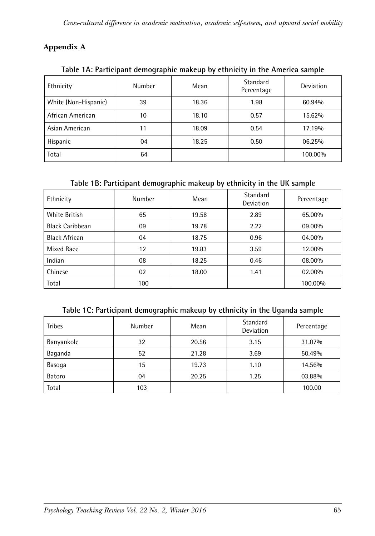## **Appendix A**

| $18012$ $1111$ at the parts well be proved interesting by extrinsivity in the contention building |               |       |                        |           |  |  |  |  |  |
|---------------------------------------------------------------------------------------------------|---------------|-------|------------------------|-----------|--|--|--|--|--|
| Ethnicity                                                                                         | <b>Number</b> | Mean  | Standard<br>Percentage | Deviation |  |  |  |  |  |
| White (Non-Hispanic)                                                                              | 39            | 18.36 | 1.98                   | 60.94%    |  |  |  |  |  |
| African American                                                                                  | 10            | 18.10 | 0.57                   | 15.62%    |  |  |  |  |  |
| Asian American                                                                                    | 11            | 18.09 | 0.54                   | 17.19%    |  |  |  |  |  |
| Hispanic                                                                                          | 04            | 18.25 | 0.50                   | 06.25%    |  |  |  |  |  |
| Total                                                                                             | 64            |       |                        | 100.00%   |  |  |  |  |  |

**Table 1A: Participant demographic makeup by ethnicity in the America sample**

## **Table 1B: Participant demographic makeup by ethnicity in the UK sample**

| Ethnicity              | Number | Mean  | Standard<br><b>Deviation</b> | Percentage |
|------------------------|--------|-------|------------------------------|------------|
| <b>White British</b>   | 65     | 19.58 | 2.89                         | 65.00%     |
| <b>Black Caribbean</b> | 09     | 19.78 | 2.22                         | 09.00%     |
| Black African          | 04     | 18.75 | 0.96                         | 04.00%     |
| Mixed Race             | 12     | 19.83 | 3.59                         | 12.00%     |
| Indian                 | 08     | 18.25 | 0.46                         | 08.00%     |
| Chinese                | 02     | 18.00 | 1.41                         | 02.00%     |
| Total                  | 100    |       |                              | 100.00%    |

|  | Table 1C: Participant demographic makeup by ethnicity in the Uganda sample |  |  |  |
|--|----------------------------------------------------------------------------|--|--|--|
|  |                                                                            |  |  |  |

| <b>Tribes</b> | <b>Number</b> | Mean  | Standard<br>Deviation | Percentage |
|---------------|---------------|-------|-----------------------|------------|
| Banyankole    | 32            | 20.56 | 3.15                  | 31.07%     |
| Baganda       | 52            | 21.28 | 3.69                  | 50.49%     |
| Basoga        | 15            | 19.73 | 1.10                  | 14.56%     |
| Batoro        | 04            | 20.25 | 1.25                  | 03.88%     |
| Total         | 103           |       |                       | 100.00     |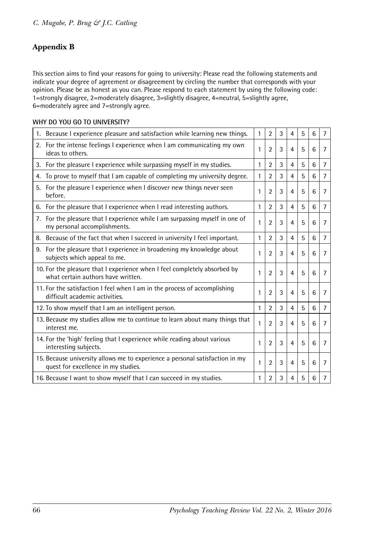## **Appendix B**

This section aims to find your reasons for going to university: Please read the following statements and indicate your degree of agreement or disagreement by circling the number that corresponds with your opinion. Please be as honest as you can. Please respond to each statement by using the following code: 1=strongly disagree, 2=moderately disagree, 3=slightly disagree, 4=neutral, 5=slightly agree, 6=moderately agree and 7=strongly agree.

#### **WHY DO YOU GO TO UNIVERSITY?**

| 1. Because I experience pleasure and satisfaction while learning new things.                                        | $\mathbf{1}$ | $\overline{2}$ | 3 | $\overline{4}$ | 5 | 6 | $\overline{7}$ |
|---------------------------------------------------------------------------------------------------------------------|--------------|----------------|---|----------------|---|---|----------------|
| 2. For the intense feelings I experience when I am communicating my own<br>ideas to others.                         | 1            | $\overline{2}$ | 3 | $\overline{4}$ | 5 | 6 | 7              |
| 3. For the pleasure I experience while surpassing myself in my studies.                                             | 1            | $\overline{2}$ | 3 | 4              | 5 | 6 | 7              |
| To prove to myself that I am capable of completing my university degree.<br>4.                                      | 1            | $\mathfrak{p}$ | 3 | 4              | 5 | 6 | $\overline{7}$ |
| For the pleasure I experience when I discover new things never seen<br>5.<br>before.                                | 1            | $\overline{2}$ | 3 | $\overline{4}$ | 5 | 6 | $\overline{7}$ |
| 6. For the pleasure that I experience when I read interesting authors.                                              | 1            | $\overline{2}$ | 3 | 4              | 5 | 6 | $\overline{7}$ |
| 7. For the pleasure that I experience while I am surpassing myself in one of<br>my personal accomplishments.        | 1            | $\overline{2}$ | 3 | $\overline{4}$ | 5 | 6 | $\overline{7}$ |
| 8. Because of the fact that when I succeed in university I feel important.                                          | 1            | $\overline{2}$ | 3 | $\overline{4}$ | 5 | 6 | 7              |
| 9. For the pleasure that I experience in broadening my knowledge about<br>subjects which appeal to me.              | 1            | $\overline{2}$ | 3 | $\overline{4}$ | 5 | 6 | 7              |
| 10. For the pleasure that I experience when I feel completely absorbed by<br>what certain authors have written.     | 1            | $\overline{2}$ | 3 | $\overline{4}$ | 5 | 6 | $\overline{7}$ |
| 11. For the satisfaction I feel when I am in the process of accomplishing<br>difficult academic activities.         | 1            | $\overline{2}$ | 3 | $\overline{4}$ | 5 | 6 | $\overline{7}$ |
| 12. To show myself that I am an intelligent person.                                                                 | 1            | $\overline{2}$ | 3 | $\overline{4}$ | 5 | 6 | $\overline{7}$ |
| 13. Because my studies allow me to continue to learn about many things that<br>interest me.                         | 1            | $\overline{2}$ | 3 | $\overline{4}$ | 5 | 6 | $\overline{7}$ |
| 14. For the 'high' feeling that I experience while reading about various<br>interesting subjects.                   | 1            | $\overline{2}$ | 3 | 4              | 5 | 6 | 7              |
| 15. Because university allows me to experience a personal satisfaction in my<br>quest for excellence in my studies. | 1            | $\overline{2}$ | 3 | $\overline{4}$ | 5 | 6 | $\overline{7}$ |
| 16. Because I want to show myself that I can succeed in my studies.                                                 | 1            | 2              | 3 | 4              | 5 | 6 | 7              |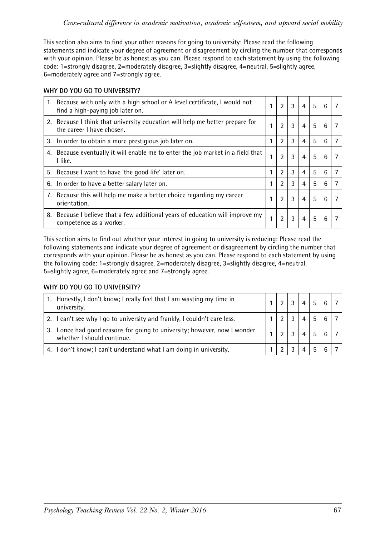This section also aims to find your other reasons for going to university: Please read the following statements and indicate your degree of agreement or disagreement by circling the number that corresponds with your opinion. Please be as honest as you can. Please respond to each statement by using the following code: 1=strongly disagree, 2=moderately disagree, 3=slightly disagree, 4=neutral, 5=slightly agree, 6=moderately agree and 7=strongly agree.

#### **WHY DO YOU GO TO UNIVERSITY?**

| 1. Because with only with a high school or A level certificate, I would not<br>find a high-paying job later on. |   | $\overline{2}$ | 3 | $\overline{4}$ | 5 | 6 |  |
|-----------------------------------------------------------------------------------------------------------------|---|----------------|---|----------------|---|---|--|
| 2. Because I think that university education will help me better prepare for<br>the career I have chosen.       |   | $\overline{2}$ | 3 | $\overline{4}$ | 5 | 6 |  |
| 3. In order to obtain a more prestigious job later on.                                                          |   | 2              | 3 | 4              | 5 | 6 |  |
| 4. Because eventually it will enable me to enter the job market in a field that<br>I like.                      | 1 | $\overline{2}$ | 3 | $\overline{4}$ | 5 | 6 |  |
| 5. Because I want to have 'the good life' later on.                                                             |   | $\mathfrak{p}$ | 3 | 4              | 5 | 6 |  |
| 6. In order to have a better salary later on.                                                                   |   | $\mathfrak{p}$ | 3 | 4              | 5 | 6 |  |
| 7. Because this will help me make a better choice regarding my career<br>orientation.                           | 1 | $\overline{2}$ | 3 | 4              | 5 | 6 |  |
| 8. Because I believe that a few additional years of education will improve my<br>competence as a worker.        | 1 | 2              | 3 | 4              | 5 | 6 |  |

This section aims to find out whether your interest in going to university is reducing: Please read the following statements and indicate your degree of agreement or disagreement by circling the number that corresponds with your opinion. Please be as honest as you can. Please respond to each statement by using the following code: 1=strongly disagree, 2=moderately disagree, 3=slightly disagree, 4=neutral, 5=slightly agree, 6=moderately agree and 7=strongly agree.

## **WHY DO YOU GO TO UNIVERSITY?**

| 1. Honestly, I don't know; I really feel that I am wasting my time in<br>university.                    |  |  | 6              |  |
|---------------------------------------------------------------------------------------------------------|--|--|----------------|--|
| 2. I can't see why I go to university and frankly, I couldn't care less.                                |  |  | 6 <sup>1</sup> |  |
| 3. I once had good reasons for going to university; however, now I wonder<br>whether I should continue. |  |  | 6              |  |
| 4. I don't know; I can't understand what I am doing in university.                                      |  |  | 6 <sup>1</sup> |  |